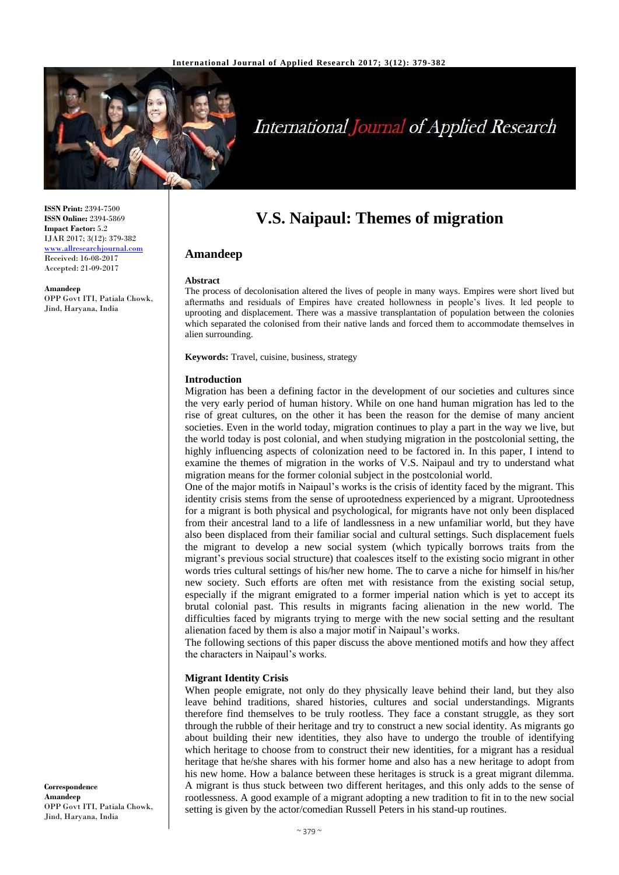

# International Journal of Applied Research

**ISSN Print:** 2394-7500 **ISSN Online:** 2394-5869 **Impact Factor:** 5.2 IJAR 2017; 3(12): 379-382 [www.allresearchjournal.com](http://www.allresearchjournal.com/) Received: 16-08-2017 Accepted: 21-09-2017

**Amandeep** OPP Govt ITI, Patiala Chowk, Jind, Haryana, India

# **V.S. Naipaul: Themes of migration**

# **Amandeep**

#### **Abstract**

The process of decolonisation altered the lives of people in many ways. Empires were short lived but aftermaths and residuals of Empires have created hollowness in people's lives. It led people to uprooting and displacement. There was a massive transplantation of population between the colonies which separated the colonised from their native lands and forced them to accommodate themselves in alien surrounding.

**Keywords:** Travel, cuisine, business, strategy

#### **Introduction**

Migration has been a defining factor in the development of our societies and cultures since the very early period of human history. While on one hand human migration has led to the rise of great cultures, on the other it has been the reason for the demise of many ancient societies. Even in the world today, migration continues to play a part in the way we live, but the world today is post colonial, and when studying migration in the postcolonial setting, the highly influencing aspects of colonization need to be factored in. In this paper, I intend to examine the themes of migration in the works of V.S. Naipaul and try to understand what migration means for the former colonial subject in the postcolonial world.

One of the major motifs in Naipaul's works is the crisis of identity faced by the migrant. This identity crisis stems from the sense of uprootedness experienced by a migrant. Uprootedness for a migrant is both physical and psychological, for migrants have not only been displaced from their ancestral land to a life of landlessness in a new unfamiliar world, but they have also been displaced from their familiar social and cultural settings. Such displacement fuels the migrant to develop a new social system (which typically borrows traits from the migrant's previous social structure) that coalesces itself to the existing socio migrant in other words tries cultural settings of his/her new home. The to carve a niche for himself in his/her new society. Such efforts are often met with resistance from the existing social setup, especially if the migrant emigrated to a former imperial nation which is yet to accept its brutal colonial past. This results in migrants facing alienation in the new world. The difficulties faced by migrants trying to merge with the new social setting and the resultant alienation faced by them is also a major motif in Naipaul's works.

The following sections of this paper discuss the above mentioned motifs and how they affect the characters in Naipaul's works.

#### **Migrant Identity Crisis**

When people emigrate, not only do they physically leave behind their land, but they also leave behind traditions, shared histories, cultures and social understandings. Migrants therefore find themselves to be truly rootless. They face a constant struggle, as they sort through the rubble of their heritage and try to construct a new social identity. As migrants go about building their new identities, they also have to undergo the trouble of identifying which heritage to choose from to construct their new identities, for a migrant has a residual heritage that he/she shares with his former home and also has a new heritage to adopt from his new home. How a balance between these heritages is struck is a great migrant dilemma. A migrant is thus stuck between two different heritages, and this only adds to the sense of rootlessness. A good example of a migrant adopting a new tradition to fit in to the new social setting is given by the actor/comedian Russell Peters in his stand-up routines.

**Correspondence Amandeep** OPP Govt ITI, Patiala Chowk, Jind, Haryana, India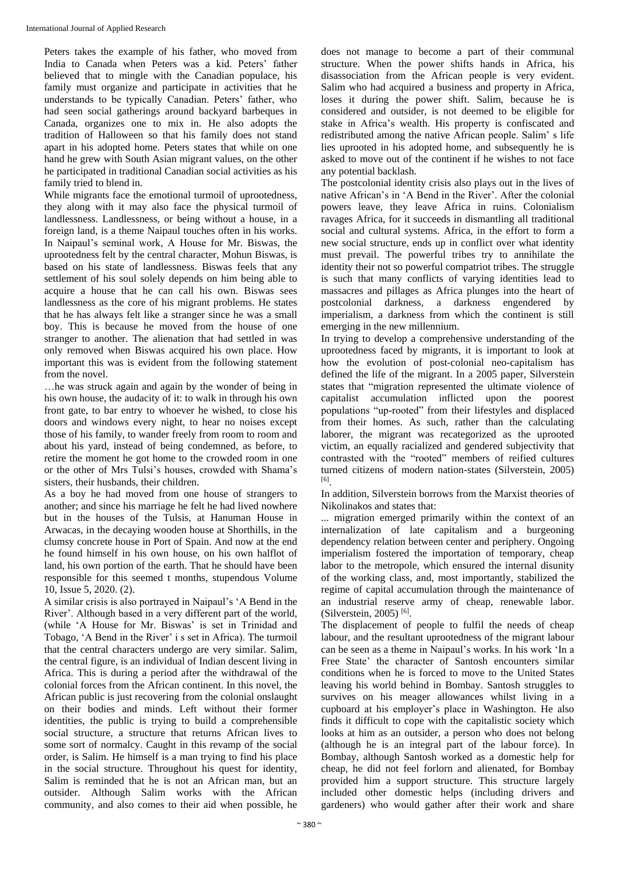Peters takes the example of his father, who moved from India to Canada when Peters was a kid. Peters' father believed that to mingle with the Canadian populace, his family must organize and participate in activities that he understands to be typically Canadian. Peters' father, who had seen social gatherings around backyard barbeques in Canada, organizes one to mix in. He also adopts the tradition of Halloween so that his family does not stand apart in his adopted home. Peters states that while on one hand he grew with South Asian migrant values, on the other he participated in traditional Canadian social activities as his family tried to blend in.

While migrants face the emotional turmoil of uprootedness, they along with it may also face the physical turmoil of landlessness. Landlessness, or being without a house, in a foreign land, is a theme Naipaul touches often in his works. In Naipaul's seminal work, A House for Mr. Biswas, the uprootedness felt by the central character, Mohun Biswas, is based on his state of landlessness. Biswas feels that any settlement of his soul solely depends on him being able to acquire a house that he can call his own. Biswas sees landlessness as the core of his migrant problems. He states that he has always felt like a stranger since he was a small boy. This is because he moved from the house of one stranger to another. The alienation that had settled in was only removed when Biswas acquired his own place. How important this was is evident from the following statement from the novel.

…he was struck again and again by the wonder of being in his own house, the audacity of it: to walk in through his own front gate, to bar entry to whoever he wished, to close his doors and windows every night, to hear no noises except those of his family, to wander freely from room to room and about his yard, instead of being condemned, as before, to retire the moment he got home to the crowded room in one or the other of Mrs Tulsi's houses, crowded with Shama's sisters, their husbands, their children.

As a boy he had moved from one house of strangers to another; and since his marriage he felt he had lived nowhere but in the houses of the Tulsis, at Hanuman House in Arwacas, in the decaying wooden house at Shorthills, in the clumsy concrete house in Port of Spain. And now at the end he found himself in his own house, on his own halflot of land, his own portion of the earth. That he should have been responsible for this seemed t months, stupendous Volume 10, Issue 5, 2020. (2).

A similar crisis is also portrayed in Naipaul's 'A Bend in the River'. Although based in a very different part of the world, (while 'A House for Mr. Biswas' is set in Trinidad and Tobago, 'A Bend in the River' i s set in Africa). The turmoil that the central characters undergo are very similar. Salim, the central figure, is an individual of Indian descent living in Africa. This is during a period after the withdrawal of the colonial forces from the African continent. In this novel, the African public is just recovering from the colonial onslaught on their bodies and minds. Left without their former identities, the public is trying to build a comprehensible social structure, a structure that returns African lives to some sort of normalcy. Caught in this revamp of the social order, is Salim. He himself is a man trying to find his place in the social structure. Throughout his quest for identity, Salim is reminded that he is not an African man, but an outsider. Although Salim works with the African community, and also comes to their aid when possible, he does not manage to become a part of their communal structure. When the power shifts hands in Africa, his disassociation from the African people is very evident. Salim who had acquired a business and property in Africa. loses it during the power shift. Salim, because he is considered and outsider, is not deemed to be eligible for stake in Africa's wealth. His property is confiscated and redistributed among the native African people. Salim' s life lies uprooted in his adopted home, and subsequently he is asked to move out of the continent if he wishes to not face any potential backlash.

The postcolonial identity crisis also plays out in the lives of native African's in 'A Bend in the River'. After the colonial powers leave, they leave Africa in ruins. Colonialism ravages Africa, for it succeeds in dismantling all traditional social and cultural systems. Africa, in the effort to form a new social structure, ends up in conflict over what identity must prevail. The powerful tribes try to annihilate the identity their not so powerful compatriot tribes. The struggle is such that many conflicts of varying identities lead to massacres and pillages as Africa plunges into the heart of postcolonial darkness, a darkness engendered by imperialism, a darkness from which the continent is still emerging in the new millennium.

In trying to develop a comprehensive understanding of the uprootedness faced by migrants, it is important to look at how the evolution of post-colonial neo-capitalism has defined the life of the migrant. In a 2005 paper, Silverstein states that "migration represented the ultimate violence of capitalist accumulation inflicted upon the poorest populations "up-rooted" from their lifestyles and displaced from their homes. As such, rather than the calculating laborer, the migrant was recategorized as the uprooted victim, an equally racialized and gendered subjectivity that contrasted with the "rooted" members of reified cultures turned citizens of modern nation-states (Silverstein, 2005) [6] .

In addition, Silverstein borrows from the Marxist theories of Nikolinakos and states that:

... migration emerged primarily within the context of an internalization of late capitalism and a burgeoning dependency relation between center and periphery. Ongoing imperialism fostered the importation of temporary, cheap labor to the metropole, which ensured the internal disunity of the working class, and, most importantly, stabilized the regime of capital accumulation through the maintenance of an industrial reserve army of cheap, renewable labor. (Silverstein, 2005)<sup>[6]</sup>.

The displacement of people to fulfil the needs of cheap labour, and the resultant uprootedness of the migrant labour can be seen as a theme in Naipaul's works. In his work 'In a Free State' the character of Santosh encounters similar conditions when he is forced to move to the United States leaving his world behind in Bombay. Santosh struggles to survives on his meager allowances whilst living in a cupboard at his employer's place in Washington. He also finds it difficult to cope with the capitalistic society which looks at him as an outsider, a person who does not belong (although he is an integral part of the labour force). In Bombay, although Santosh worked as a domestic help for cheap, he did not feel forlorn and alienated, for Bombay provided him a support structure. This structure largely included other domestic helps (including drivers and gardeners) who would gather after their work and share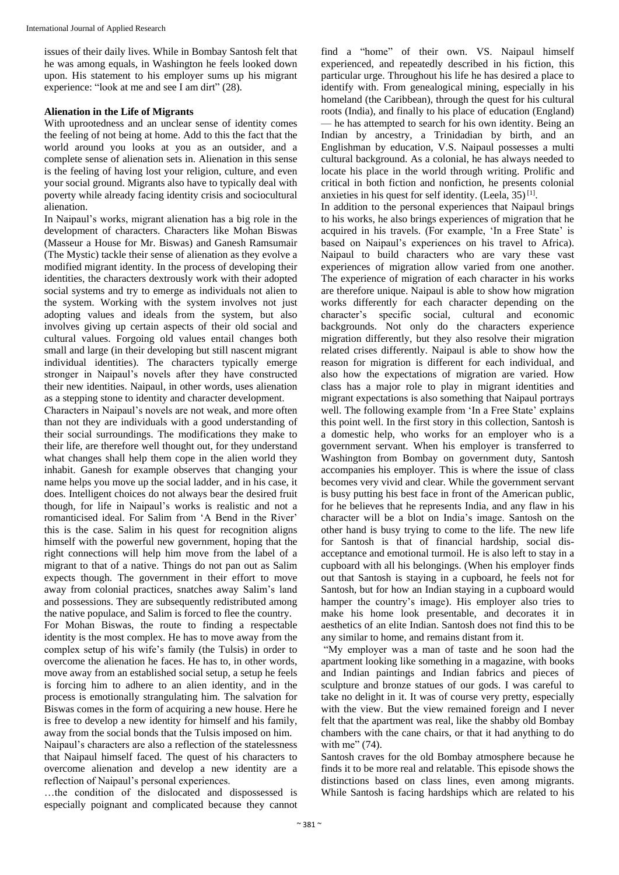issues of their daily lives. While in Bombay Santosh felt that he was among equals, in Washington he feels looked down upon. His statement to his employer sums up his migrant experience: "look at me and see I am dirt" (28).

## **Alienation in the Life of Migrants**

With uprootedness and an unclear sense of identity comes the feeling of not being at home. Add to this the fact that the world around you looks at you as an outsider, and a complete sense of alienation sets in. Alienation in this sense is the feeling of having lost your religion, culture, and even your social ground. Migrants also have to typically deal with poverty while already facing identity crisis and sociocultural alienation.

In Naipaul's works, migrant alienation has a big role in the development of characters. Characters like Mohan Biswas (Masseur a House for Mr. Biswas) and Ganesh Ramsumair (The Mystic) tackle their sense of alienation as they evolve a modified migrant identity. In the process of developing their identities, the characters dextrously work with their adopted social systems and try to emerge as individuals not alien to the system. Working with the system involves not just adopting values and ideals from the system, but also involves giving up certain aspects of their old social and cultural values. Forgoing old values entail changes both small and large (in their developing but still nascent migrant individual identities). The characters typically emerge stronger in Naipaul's novels after they have constructed their new identities. Naipaul, in other words, uses alienation as a stepping stone to identity and character development.

Characters in Naipaul's novels are not weak, and more often than not they are individuals with a good understanding of their social surroundings. The modifications they make to their life, are therefore well thought out, for they understand what changes shall help them cope in the alien world they inhabit. Ganesh for example observes that changing your name helps you move up the social ladder, and in his case, it does. Intelligent choices do not always bear the desired fruit though, for life in Naipaul's works is realistic and not a romanticised ideal. For Salim from 'A Bend in the River' this is the case. Salim in his quest for recognition aligns himself with the powerful new government, hoping that the right connections will help him move from the label of a migrant to that of a native. Things do not pan out as Salim expects though. The government in their effort to move away from colonial practices, snatches away Salim's land and possessions. They are subsequently redistributed among the native populace, and Salim is forced to flee the country.

For Mohan Biswas, the route to finding a respectable identity is the most complex. He has to move away from the complex setup of his wife's family (the Tulsis) in order to overcome the alienation he faces. He has to, in other words, move away from an established social setup, a setup he feels is forcing him to adhere to an alien identity, and in the process is emotionally strangulating him. The salvation for Biswas comes in the form of acquiring a new house. Here he is free to develop a new identity for himself and his family, away from the social bonds that the Tulsis imposed on him.

Naipaul's characters are also a reflection of the statelessness that Naipaul himself faced. The quest of his characters to overcome alienation and develop a new identity are a reflection of Naipaul's personal experiences.

…the condition of the dislocated and dispossessed is especially poignant and complicated because they cannot

find a "home" of their own. VS. Naipaul himself experienced, and repeatedly described in his fiction, this particular urge. Throughout his life he has desired a place to identify with. From genealogical mining, especially in his homeland (the Caribbean), through the quest for his cultural roots (India), and finally to his place of education (England) — he has attempted to search for his own identity. Being an Indian by ancestry, a Trinidadian by birth, and an Englishman by education, V.S. Naipaul possesses a multi cultural background. As a colonial, he has always needed to locate his place in the world through writing. Prolific and critical in both fiction and nonfiction, he presents colonial anxieties in his quest for self identity. (Leela,  $35$ )<sup>[1]</sup>.

In addition to the personal experiences that Naipaul brings to his works, he also brings experiences of migration that he acquired in his travels. (For example, 'In a Free State' is based on Naipaul's experiences on his travel to Africa). Naipaul to build characters who are vary these vast experiences of migration allow varied from one another. The experience of migration of each character in his works are therefore unique. Naipaul is able to show how migration works differently for each character depending on the character's specific social, cultural and economic backgrounds. Not only do the characters experience migration differently, but they also resolve their migration related crises differently. Naipaul is able to show how the reason for migration is different for each individual, and also how the expectations of migration are varied. How class has a major role to play in migrant identities and migrant expectations is also something that Naipaul portrays well. The following example from 'In a Free State' explains this point well. In the first story in this collection, Santosh is a domestic help, who works for an employer who is a government servant. When his employer is transferred to Washington from Bombay on government duty, Santosh accompanies his employer. This is where the issue of class becomes very vivid and clear. While the government servant is busy putting his best face in front of the American public, for he believes that he represents India, and any flaw in his character will be a blot on India's image. Santosh on the other hand is busy trying to come to the life. The new life for Santosh is that of financial hardship, social disacceptance and emotional turmoil. He is also left to stay in a cupboard with all his belongings. (When his employer finds out that Santosh is staying in a cupboard, he feels not for Santosh, but for how an Indian staying in a cupboard would hamper the country's image). His employer also tries to make his home look presentable, and decorates it in aesthetics of an elite Indian. Santosh does not find this to be any similar to home, and remains distant from it.

"My employer was a man of taste and he soon had the apartment looking like something in a magazine, with books and Indian paintings and Indian fabrics and pieces of sculpture and bronze statues of our gods. I was careful to take no delight in it. It was of course very pretty, especially with the view. But the view remained foreign and I never felt that the apartment was real, like the shabby old Bombay chambers with the cane chairs, or that it had anything to do with me" (74).

Santosh craves for the old Bombay atmosphere because he finds it to be more real and relatable. This episode shows the distinctions based on class lines, even among migrants. While Santosh is facing hardships which are related to his